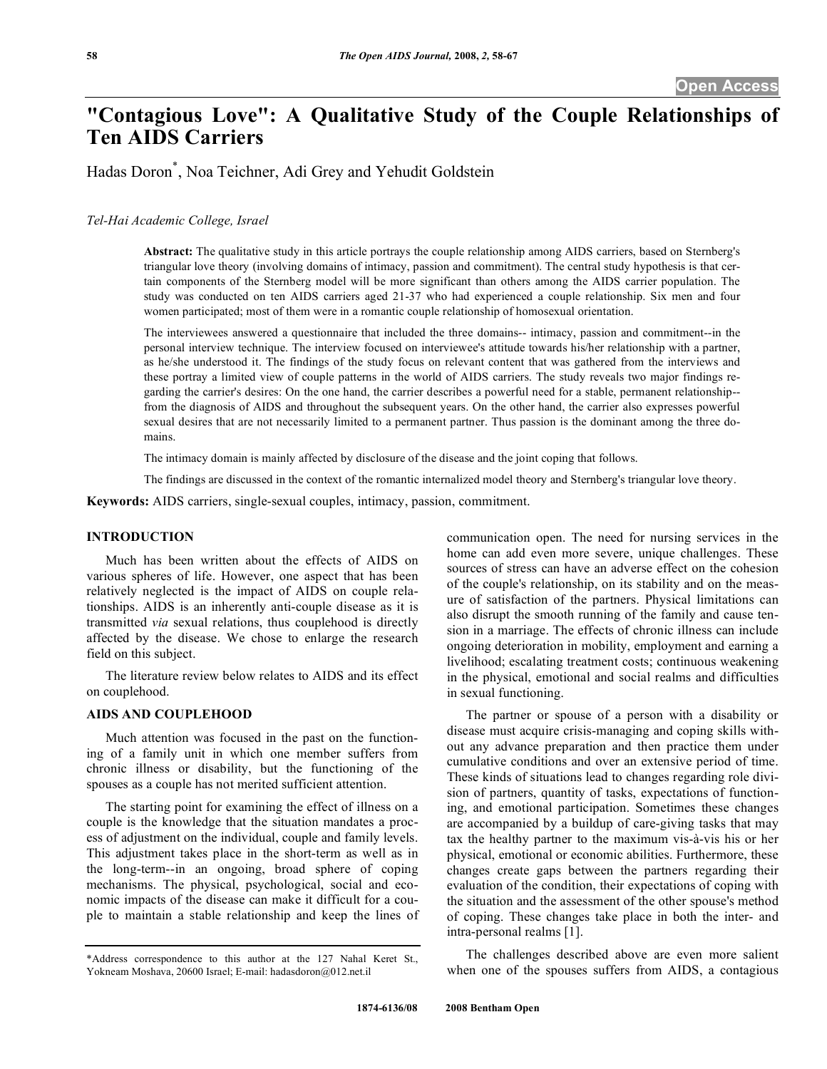# **"Contagious Love": A Qualitative Study of the Couple Relationships of Ten AIDS Carriers**

Hadas Doron\* , Noa Teichner, Adi Grey and Yehudit Goldstein

# *Tel-Hai Academic College, Israel*

**Abstract:** The qualitative study in this article portrays the couple relationship among AIDS carriers, based on Sternberg's triangular love theory (involving domains of intimacy, passion and commitment). The central study hypothesis is that certain components of the Sternberg model will be more significant than others among the AIDS carrier population. The study was conducted on ten AIDS carriers aged 21-37 who had experienced a couple relationship. Six men and four women participated; most of them were in a romantic couple relationship of homosexual orientation.

The interviewees answered a questionnaire that included the three domains-- intimacy, passion and commitment--in the personal interview technique. The interview focused on interviewee's attitude towards his/her relationship with a partner, as he/she understood it. The findings of the study focus on relevant content that was gathered from the interviews and these portray a limited view of couple patterns in the world of AIDS carriers. The study reveals two major findings regarding the carrier's desires: On the one hand, the carrier describes a powerful need for a stable, permanent relationship- from the diagnosis of AIDS and throughout the subsequent years. On the other hand, the carrier also expresses powerful sexual desires that are not necessarily limited to a permanent partner. Thus passion is the dominant among the three domains.

The intimacy domain is mainly affected by disclosure of the disease and the joint coping that follows.

The findings are discussed in the context of the romantic internalized model theory and Sternberg's triangular love theory.

**Keywords:** AIDS carriers, single-sexual couples, intimacy, passion, commitment.

#### **INTRODUCTION**

 Much has been written about the effects of AIDS on various spheres of life. However, one aspect that has been relatively neglected is the impact of AIDS on couple relationships. AIDS is an inherently anti-couple disease as it is transmitted *via* sexual relations, thus couplehood is directly affected by the disease. We chose to enlarge the research field on this subject.

 The literature review below relates to AIDS and its effect on couplehood.

# **AIDS AND COUPLEHOOD**

 Much attention was focused in the past on the functioning of a family unit in which one member suffers from chronic illness or disability, but the functioning of the spouses as a couple has not merited sufficient attention.

 The starting point for examining the effect of illness on a couple is the knowledge that the situation mandates a process of adjustment on the individual, couple and family levels. This adjustment takes place in the short-term as well as in the long-term--in an ongoing, broad sphere of coping mechanisms. The physical, psychological, social and economic impacts of the disease can make it difficult for a couple to maintain a stable relationship and keep the lines of communication open. The need for nursing services in the home can add even more severe, unique challenges. These sources of stress can have an adverse effect on the cohesion of the couple's relationship, on its stability and on the measure of satisfaction of the partners. Physical limitations can also disrupt the smooth running of the family and cause tension in a marriage. The effects of chronic illness can include ongoing deterioration in mobility, employment and earning a livelihood; escalating treatment costs; continuous weakening in the physical, emotional and social realms and difficulties in sexual functioning.

 The partner or spouse of a person with a disability or disease must acquire crisis-managing and coping skills without any advance preparation and then practice them under cumulative conditions and over an extensive period of time. These kinds of situations lead to changes regarding role division of partners, quantity of tasks, expectations of functioning, and emotional participation. Sometimes these changes are accompanied by a buildup of care-giving tasks that may tax the healthy partner to the maximum vis-à-vis his or her physical, emotional or economic abilities. Furthermore, these changes create gaps between the partners regarding their evaluation of the condition, their expectations of coping with the situation and the assessment of the other spouse's method of coping. These changes take place in both the inter- and intra-personal realms [1].

 The challenges described above are even more salient when one of the spouses suffers from AIDS, a contagious

<sup>\*</sup>Address correspondence to this author at the 127 Nahal Keret St., Yokneam Moshava, 20600 Israel; E-mail: hadasdoron@012.net.il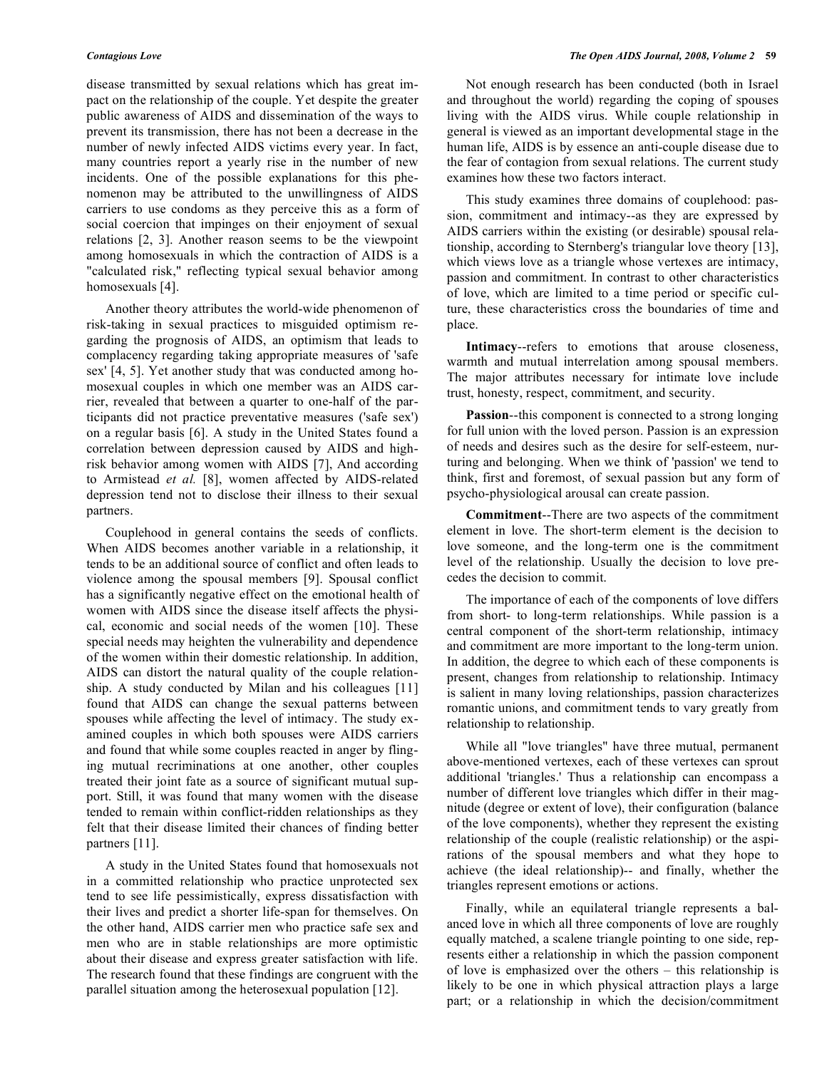disease transmitted by sexual relations which has great impact on the relationship of the couple. Yet despite the greater public awareness of AIDS and dissemination of the ways to prevent its transmission, there has not been a decrease in the number of newly infected AIDS victims every year. In fact, many countries report a yearly rise in the number of new incidents. One of the possible explanations for this phenomenon may be attributed to the unwillingness of AIDS carriers to use condoms as they perceive this as a form of social coercion that impinges on their enjoyment of sexual relations [2, 3]. Another reason seems to be the viewpoint among homosexuals in which the contraction of AIDS is a "calculated risk," reflecting typical sexual behavior among homosexuals [4].

 Another theory attributes the world-wide phenomenon of risk-taking in sexual practices to misguided optimism regarding the prognosis of AIDS, an optimism that leads to complacency regarding taking appropriate measures of 'safe sex' [4, 5]. Yet another study that was conducted among homosexual couples in which one member was an AIDS carrier, revealed that between a quarter to one-half of the participants did not practice preventative measures ('safe sex') on a regular basis [6]. A study in the United States found a correlation between depression caused by AIDS and highrisk behavior among women with AIDS [7], And according to Armistead *et al.* [8], women affected by AIDS-related depression tend not to disclose their illness to their sexual partners.

 Couplehood in general contains the seeds of conflicts. When AIDS becomes another variable in a relationship, it tends to be an additional source of conflict and often leads to violence among the spousal members [9]. Spousal conflict has a significantly negative effect on the emotional health of women with AIDS since the disease itself affects the physical, economic and social needs of the women [10]. These special needs may heighten the vulnerability and dependence of the women within their domestic relationship. In addition, AIDS can distort the natural quality of the couple relationship. A study conducted by Milan and his colleagues [11] found that AIDS can change the sexual patterns between spouses while affecting the level of intimacy. The study examined couples in which both spouses were AIDS carriers and found that while some couples reacted in anger by flinging mutual recriminations at one another, other couples treated their joint fate as a source of significant mutual support. Still, it was found that many women with the disease tended to remain within conflict-ridden relationships as they felt that their disease limited their chances of finding better partners [11].

 A study in the United States found that homosexuals not in a committed relationship who practice unprotected sex tend to see life pessimistically, express dissatisfaction with their lives and predict a shorter life-span for themselves. On the other hand, AIDS carrier men who practice safe sex and men who are in stable relationships are more optimistic about their disease and express greater satisfaction with life. The research found that these findings are congruent with the parallel situation among the heterosexual population [12].

 Not enough research has been conducted (both in Israel and throughout the world) regarding the coping of spouses living with the AIDS virus. While couple relationship in general is viewed as an important developmental stage in the human life, AIDS is by essence an anti-couple disease due to the fear of contagion from sexual relations. The current study examines how these two factors interact.

 This study examines three domains of couplehood: passion, commitment and intimacy--as they are expressed by AIDS carriers within the existing (or desirable) spousal relationship, according to Sternberg's triangular love theory [13], which views love as a triangle whose vertexes are intimacy, passion and commitment. In contrast to other characteristics of love, which are limited to a time period or specific culture, these characteristics cross the boundaries of time and place.

 **Intimacy**--refers to emotions that arouse closeness, warmth and mutual interrelation among spousal members. The major attributes necessary for intimate love include trust, honesty, respect, commitment, and security.

 **Passion**--this component is connected to a strong longing for full union with the loved person. Passion is an expression of needs and desires such as the desire for self-esteem, nurturing and belonging. When we think of 'passion' we tend to think, first and foremost, of sexual passion but any form of psycho-physiological arousal can create passion.

 **Commitment**--There are two aspects of the commitment element in love. The short-term element is the decision to love someone, and the long-term one is the commitment level of the relationship. Usually the decision to love precedes the decision to commit.

 The importance of each of the components of love differs from short- to long-term relationships. While passion is a central component of the short-term relationship, intimacy and commitment are more important to the long-term union. In addition, the degree to which each of these components is present, changes from relationship to relationship. Intimacy is salient in many loving relationships, passion characterizes romantic unions, and commitment tends to vary greatly from relationship to relationship.

 While all "love triangles" have three mutual, permanent above-mentioned vertexes, each of these vertexes can sprout additional 'triangles.' Thus a relationship can encompass a number of different love triangles which differ in their magnitude (degree or extent of love), their configuration (balance of the love components), whether they represent the existing relationship of the couple (realistic relationship) or the aspirations of the spousal members and what they hope to achieve (the ideal relationship)-- and finally, whether the triangles represent emotions or actions.

 Finally, while an equilateral triangle represents a balanced love in which all three components of love are roughly equally matched, a scalene triangle pointing to one side, represents either a relationship in which the passion component of love is emphasized over the others – this relationship is likely to be one in which physical attraction plays a large part; or a relationship in which the decision/commitment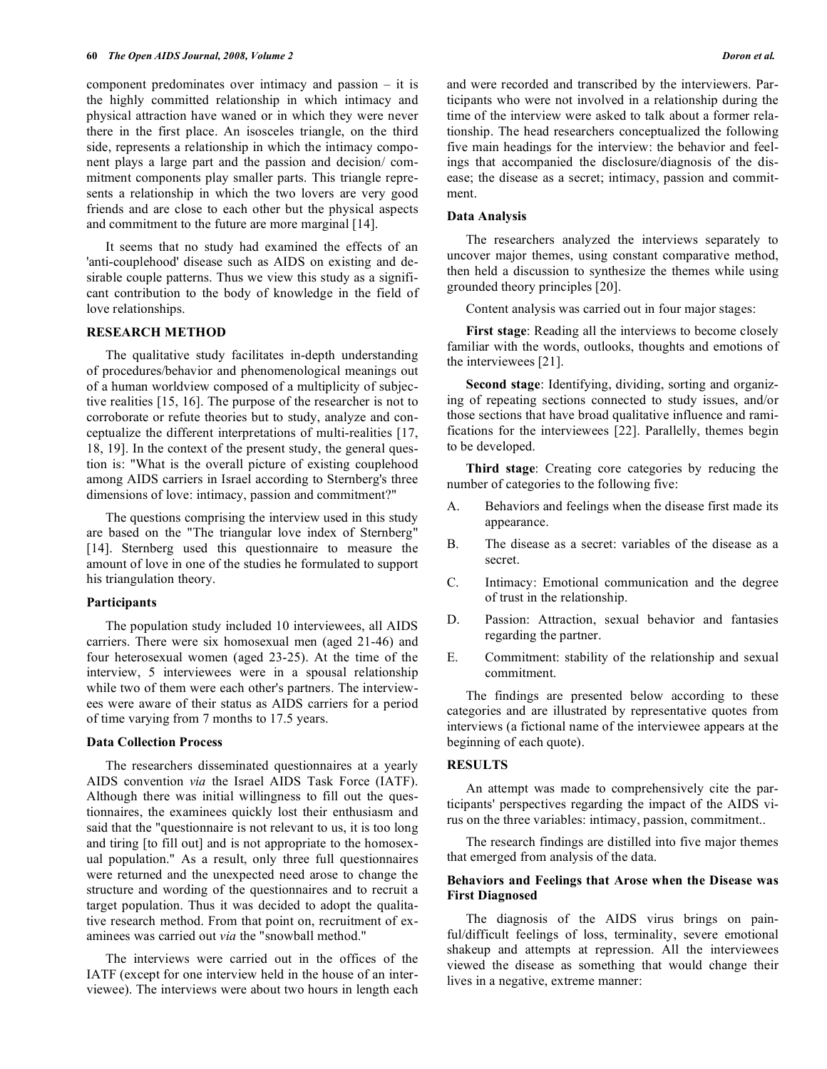component predominates over intimacy and passion – it is the highly committed relationship in which intimacy and physical attraction have waned or in which they were never there in the first place. An isosceles triangle, on the third side, represents a relationship in which the intimacy component plays a large part and the passion and decision/ commitment components play smaller parts. This triangle represents a relationship in which the two lovers are very good friends and are close to each other but the physical aspects and commitment to the future are more marginal [14].

 It seems that no study had examined the effects of an 'anti-couplehood' disease such as AIDS on existing and desirable couple patterns. Thus we view this study as a significant contribution to the body of knowledge in the field of love relationships.

#### **RESEARCH METHOD**

 The qualitative study facilitates in-depth understanding of procedures/behavior and phenomenological meanings out of a human worldview composed of a multiplicity of subjective realities [15, 16]. The purpose of the researcher is not to corroborate or refute theories but to study, analyze and conceptualize the different interpretations of multi-realities [17, 18, 19]. In the context of the present study, the general question is: "What is the overall picture of existing couplehood among AIDS carriers in Israel according to Sternberg's three dimensions of love: intimacy, passion and commitment?"

 The questions comprising the interview used in this study are based on the "The triangular love index of Sternberg" [14]. Sternberg used this questionnaire to measure the amount of love in one of the studies he formulated to support his triangulation theory.

#### **Participants**

 The population study included 10 interviewees, all AIDS carriers. There were six homosexual men (aged 21-46) and four heterosexual women (aged 23-25). At the time of the interview, 5 interviewees were in a spousal relationship while two of them were each other's partners. The interviewees were aware of their status as AIDS carriers for a period of time varying from 7 months to 17.5 years.

# **Data Collection Process**

 The researchers disseminated questionnaires at a yearly AIDS convention *via* the Israel AIDS Task Force (IATF). Although there was initial willingness to fill out the questionnaires, the examinees quickly lost their enthusiasm and said that the "questionnaire is not relevant to us, it is too long and tiring [to fill out] and is not appropriate to the homosexual population." As a result, only three full questionnaires were returned and the unexpected need arose to change the structure and wording of the questionnaires and to recruit a target population. Thus it was decided to adopt the qualitative research method. From that point on, recruitment of examinees was carried out *via* the "snowball method."

 The interviews were carried out in the offices of the IATF (except for one interview held in the house of an interviewee). The interviews were about two hours in length each and were recorded and transcribed by the interviewers. Participants who were not involved in a relationship during the time of the interview were asked to talk about a former relationship. The head researchers conceptualized the following five main headings for the interview: the behavior and feelings that accompanied the disclosure/diagnosis of the disease; the disease as a secret; intimacy, passion and commitment.

### **Data Analysis**

 The researchers analyzed the interviews separately to uncover major themes, using constant comparative method, then held a discussion to synthesize the themes while using grounded theory principles [20].

Content analysis was carried out in four major stages:

 **First stage**: Reading all the interviews to become closely familiar with the words, outlooks, thoughts and emotions of the interviewees [21].

 **Second stage**: Identifying, dividing, sorting and organizing of repeating sections connected to study issues, and/or those sections that have broad qualitative influence and ramifications for the interviewees [22]. Parallelly, themes begin to be developed.

 **Third stage**: Creating core categories by reducing the number of categories to the following five:

- A. Behaviors and feelings when the disease first made its appearance.
- B. The disease as a secret: variables of the disease as a secret.
- C. Intimacy: Emotional communication and the degree of trust in the relationship.
- D. Passion: Attraction, sexual behavior and fantasies regarding the partner.
- E. Commitment: stability of the relationship and sexual commitment.

 The findings are presented below according to these categories and are illustrated by representative quotes from interviews (a fictional name of the interviewee appears at the beginning of each quote).

#### **RESULTS**

 An attempt was made to comprehensively cite the participants' perspectives regarding the impact of the AIDS virus on the three variables: intimacy, passion, commitment..

 The research findings are distilled into five major themes that emerged from analysis of the data.

# **Behaviors and Feelings that Arose when the Disease was First Diagnosed**

 The diagnosis of the AIDS virus brings on painful/difficult feelings of loss, terminality, severe emotional shakeup and attempts at repression. All the interviewees viewed the disease as something that would change their lives in a negative, extreme manner: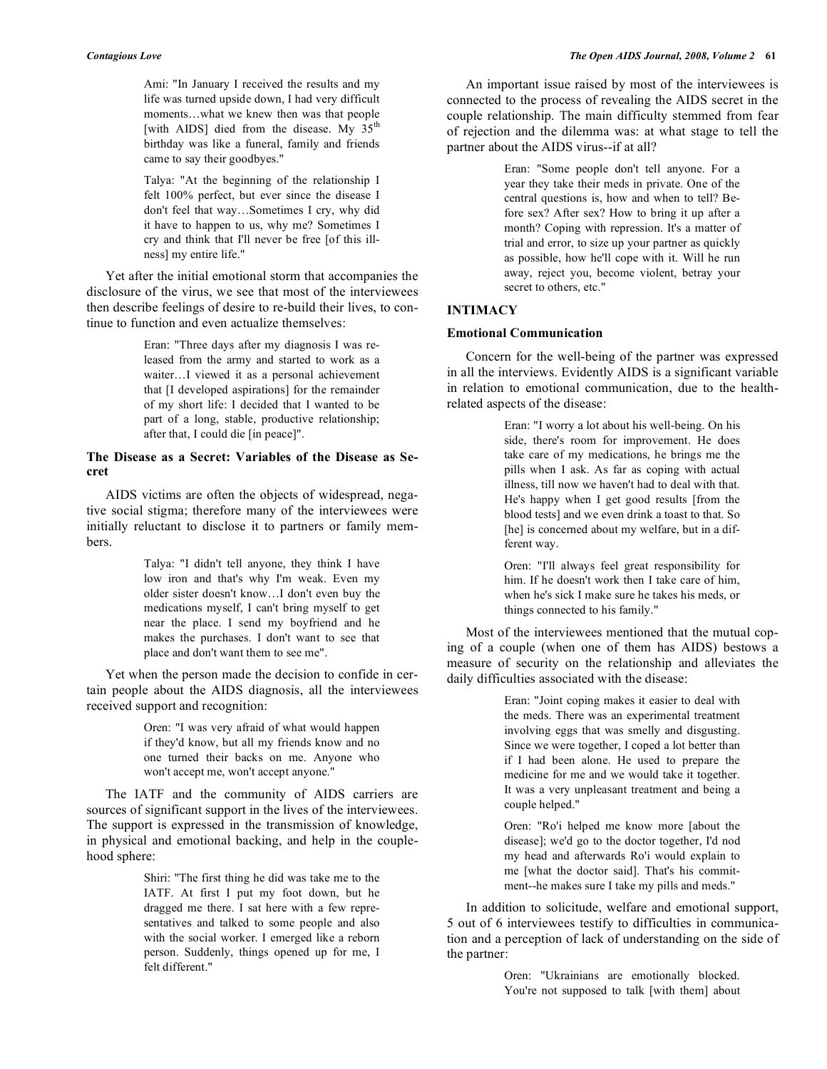Ami: "In January I received the results and my life was turned upside down, I had very difficult moments…what we knew then was that people [with AIDS] died from the disease. My  $35<sup>th</sup>$ birthday was like a funeral, family and friends came to say their goodbyes."

Talya: "At the beginning of the relationship I felt 100% perfect, but ever since the disease I don't feel that way…Sometimes I cry, why did it have to happen to us, why me? Sometimes I cry and think that I'll never be free [of this illness] my entire life."

 Yet after the initial emotional storm that accompanies the disclosure of the virus, we see that most of the interviewees then describe feelings of desire to re-build their lives, to continue to function and even actualize themselves:

> Eran: "Three days after my diagnosis I was released from the army and started to work as a waiter…I viewed it as a personal achievement that [I developed aspirations] for the remainder of my short life: I decided that I wanted to be part of a long, stable, productive relationship; after that, I could die [in peace]".

# **The Disease as a Secret: Variables of the Disease as Secret**

 AIDS victims are often the objects of widespread, negative social stigma; therefore many of the interviewees were initially reluctant to disclose it to partners or family members.

> Talya: "I didn't tell anyone, they think I have low iron and that's why I'm weak. Even my older sister doesn't know…I don't even buy the medications myself, I can't bring myself to get near the place. I send my boyfriend and he makes the purchases. I don't want to see that place and don't want them to see me".

 Yet when the person made the decision to confide in certain people about the AIDS diagnosis, all the interviewees received support and recognition:

> Oren: "I was very afraid of what would happen if they'd know, but all my friends know and no one turned their backs on me. Anyone who won't accept me, won't accept anyone."

 The IATF and the community of AIDS carriers are sources of significant support in the lives of the interviewees. The support is expressed in the transmission of knowledge, in physical and emotional backing, and help in the couplehood sphere:

> Shiri: "The first thing he did was take me to the IATF. At first I put my foot down, but he dragged me there. I sat here with a few representatives and talked to some people and also with the social worker. I emerged like a reborn person. Suddenly, things opened up for me, I felt different."

 An important issue raised by most of the interviewees is connected to the process of revealing the AIDS secret in the couple relationship. The main difficulty stemmed from fear of rejection and the dilemma was: at what stage to tell the partner about the AIDS virus--if at all?

> Eran: "Some people don't tell anyone. For a year they take their meds in private. One of the central questions is, how and when to tell? Before sex? After sex? How to bring it up after a month? Coping with repression. It's a matter of trial and error, to size up your partner as quickly as possible, how he'll cope with it. Will he run away, reject you, become violent, betray your secret to others, etc."

# **INTIMACY**

# **Emotional Communication**

 Concern for the well-being of the partner was expressed in all the interviews. Evidently AIDS is a significant variable in relation to emotional communication, due to the healthrelated aspects of the disease:

> Eran: "I worry a lot about his well-being. On his side, there's room for improvement. He does take care of my medications, he brings me the pills when I ask. As far as coping with actual illness, till now we haven't had to deal with that. He's happy when I get good results [from the blood tests] and we even drink a toast to that. So [he] is concerned about my welfare, but in a different way.

> Oren: "I'll always feel great responsibility for him. If he doesn't work then I take care of him, when he's sick I make sure he takes his meds, or things connected to his family."

 Most of the interviewees mentioned that the mutual coping of a couple (when one of them has AIDS) bestows a measure of security on the relationship and alleviates the daily difficulties associated with the disease:

> Eran: "Joint coping makes it easier to deal with the meds. There was an experimental treatment involving eggs that was smelly and disgusting. Since we were together, I coped a lot better than if I had been alone. He used to prepare the medicine for me and we would take it together. It was a very unpleasant treatment and being a couple helped."

> Oren: "Ro'i helped me know more [about the disease]; we'd go to the doctor together, I'd nod my head and afterwards Ro'i would explain to me [what the doctor said]. That's his commitment--he makes sure I take my pills and meds."

 In addition to solicitude, welfare and emotional support, 5 out of 6 interviewees testify to difficulties in communication and a perception of lack of understanding on the side of the partner:

> Oren: "Ukrainians are emotionally blocked. You're not supposed to talk [with them] about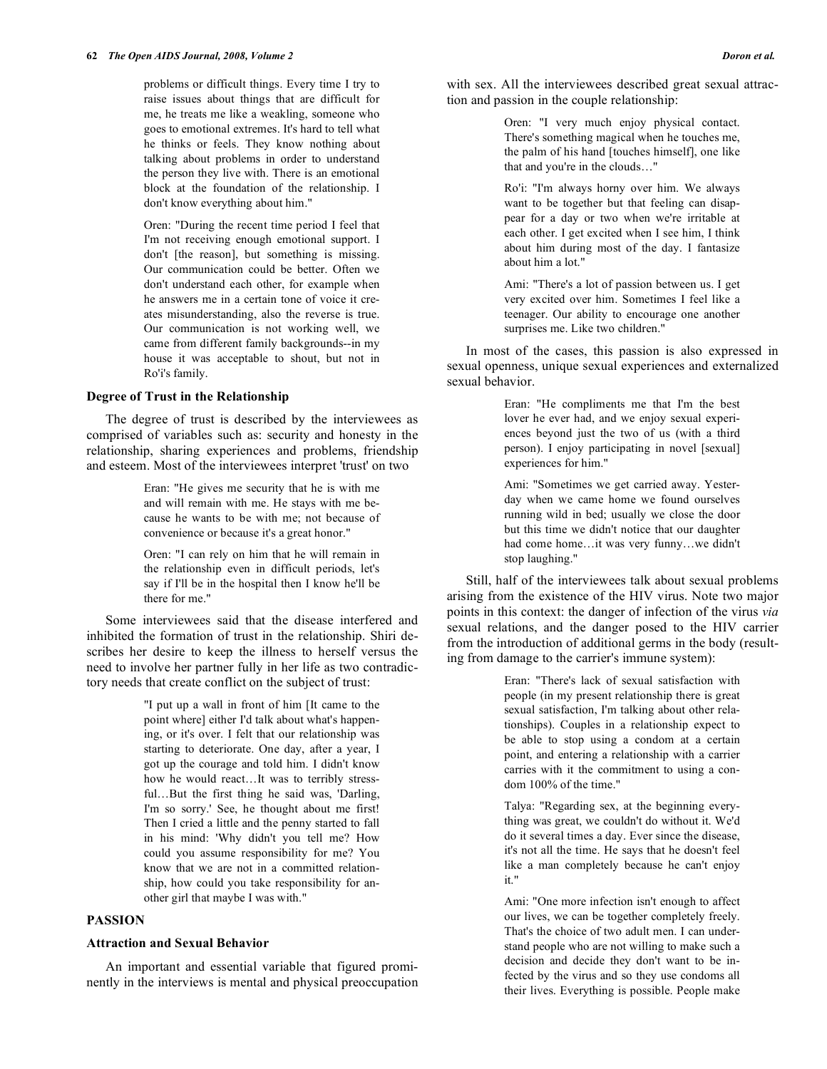problems or difficult things. Every time I try to raise issues about things that are difficult for me, he treats me like a weakling, someone who goes to emotional extremes. It's hard to tell what he thinks or feels. They know nothing about talking about problems in order to understand the person they live with. There is an emotional block at the foundation of the relationship. I don't know everything about him."

Oren: "During the recent time period I feel that I'm not receiving enough emotional support. I don't [the reason], but something is missing. Our communication could be better. Often we don't understand each other, for example when he answers me in a certain tone of voice it creates misunderstanding, also the reverse is true. Our communication is not working well, we came from different family backgrounds--in my house it was acceptable to shout, but not in Ro'i's family.

#### **Degree of Trust in the Relationship**

 The degree of trust is described by the interviewees as comprised of variables such as: security and honesty in the relationship, sharing experiences and problems, friendship and esteem. Most of the interviewees interpret 'trust' on two

> Eran: "He gives me security that he is with me and will remain with me. He stays with me because he wants to be with me; not because of convenience or because it's a great honor."

> Oren: "I can rely on him that he will remain in the relationship even in difficult periods, let's say if I'll be in the hospital then I know he'll be there for me."

 Some interviewees said that the disease interfered and inhibited the formation of trust in the relationship. Shiri describes her desire to keep the illness to herself versus the need to involve her partner fully in her life as two contradictory needs that create conflict on the subject of trust:

> "I put up a wall in front of him [It came to the point where] either I'd talk about what's happening, or it's over. I felt that our relationship was starting to deteriorate. One day, after a year, I got up the courage and told him. I didn't know how he would react…It was to terribly stressful…But the first thing he said was, 'Darling, I'm so sorry.' See, he thought about me first! Then I cried a little and the penny started to fall in his mind: 'Why didn't you tell me? How could you assume responsibility for me? You know that we are not in a committed relationship, how could you take responsibility for another girl that maybe I was with."

# **PASSION**

#### **Attraction and Sexual Behavior**

 An important and essential variable that figured prominently in the interviews is mental and physical preoccupation Oren: "I very much enjoy physical contact. There's something magical when he touches me, the palm of his hand [touches himself], one like that and you're in the clouds…"

Ro'i: "I'm always horny over him. We always want to be together but that feeling can disappear for a day or two when we're irritable at each other. I get excited when I see him, I think about him during most of the day. I fantasize about him a lot."

Ami: "There's a lot of passion between us. I get very excited over him. Sometimes I feel like a teenager. Our ability to encourage one another surprises me. Like two children."

 In most of the cases, this passion is also expressed in sexual openness, unique sexual experiences and externalized sexual behavior.

> Eran: "He compliments me that I'm the best lover he ever had, and we enjoy sexual experiences beyond just the two of us (with a third person). I enjoy participating in novel [sexual] experiences for him."

> Ami: "Sometimes we get carried away. Yesterday when we came home we found ourselves running wild in bed; usually we close the door but this time we didn't notice that our daughter had come home…it was very funny…we didn't stop laughing."

 Still, half of the interviewees talk about sexual problems arising from the existence of the HIV virus. Note two major points in this context: the danger of infection of the virus *via*  sexual relations, and the danger posed to the HIV carrier from the introduction of additional germs in the body (resulting from damage to the carrier's immune system):

> Eran: "There's lack of sexual satisfaction with people (in my present relationship there is great sexual satisfaction, I'm talking about other relationships). Couples in a relationship expect to be able to stop using a condom at a certain point, and entering a relationship with a carrier carries with it the commitment to using a condom 100% of the time."

> Talya: "Regarding sex, at the beginning everything was great, we couldn't do without it. We'd do it several times a day. Ever since the disease, it's not all the time. He says that he doesn't feel like a man completely because he can't enjoy it."

> Ami: "One more infection isn't enough to affect our lives, we can be together completely freely. That's the choice of two adult men. I can understand people who are not willing to make such a decision and decide they don't want to be infected by the virus and so they use condoms all their lives. Everything is possible. People make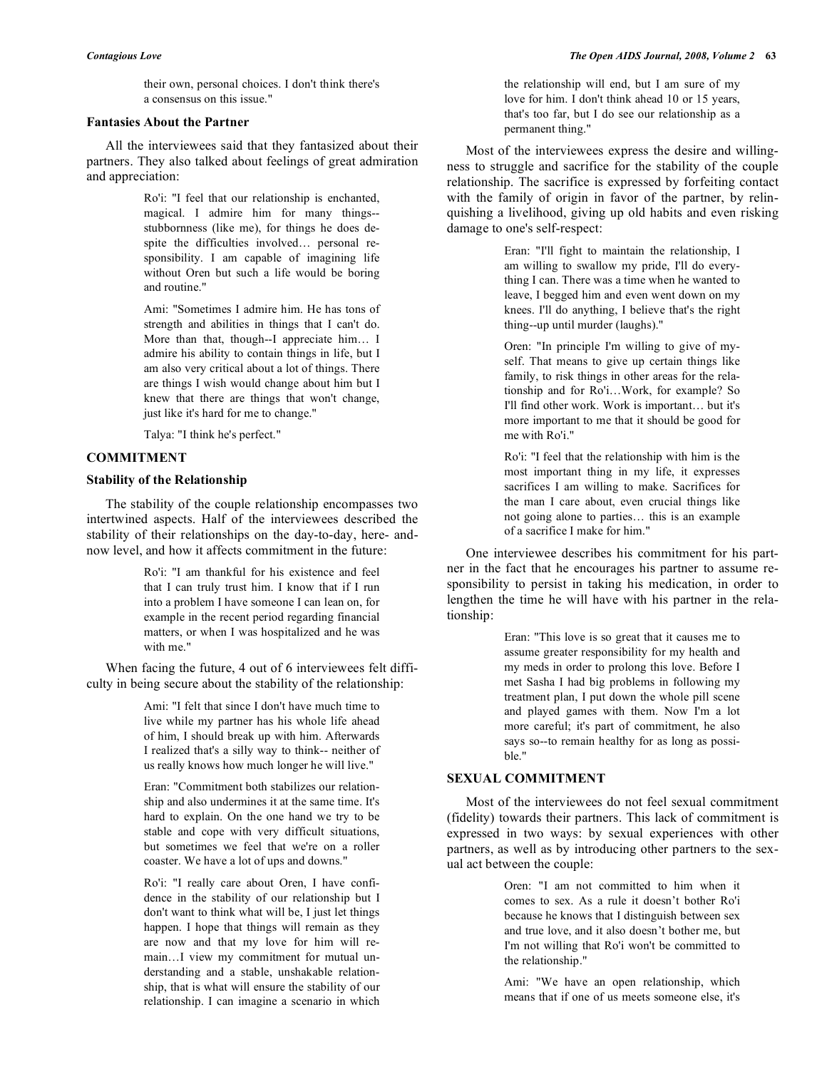their own, personal choices. I don't think there's a consensus on this issue."

#### **Fantasies About the Partner**

 All the interviewees said that they fantasized about their partners. They also talked about feelings of great admiration and appreciation:

> Ro'i: "I feel that our relationship is enchanted, magical. I admire him for many things- stubbornness (like me), for things he does despite the difficulties involved… personal responsibility. I am capable of imagining life without Oren but such a life would be boring and routine."

> Ami: "Sometimes I admire him. He has tons of strength and abilities in things that I can't do. More than that, though--I appreciate him… I admire his ability to contain things in life, but I am also very critical about a lot of things. There are things I wish would change about him but I knew that there are things that won't change, just like it's hard for me to change."

Talya: "I think he's perfect."

## **COMMITMENT**

#### **Stability of the Relationship**

 The stability of the couple relationship encompasses two intertwined aspects. Half of the interviewees described the stability of their relationships on the day-to-day, here- andnow level, and how it affects commitment in the future:

> Ro'i: "I am thankful for his existence and feel that I can truly trust him. I know that if I run into a problem I have someone I can lean on, for example in the recent period regarding financial matters, or when I was hospitalized and he was with me."

 When facing the future, 4 out of 6 interviewees felt difficulty in being secure about the stability of the relationship:

> Ami: "I felt that since I don't have much time to live while my partner has his whole life ahead of him, I should break up with him. Afterwards I realized that's a silly way to think-- neither of us really knows how much longer he will live."

> Eran: "Commitment both stabilizes our relationship and also undermines it at the same time. It's hard to explain. On the one hand we try to be stable and cope with very difficult situations, but sometimes we feel that we're on a roller coaster. We have a lot of ups and downs."

> Ro'i: "I really care about Oren, I have confidence in the stability of our relationship but I don't want to think what will be, I just let things happen. I hope that things will remain as they are now and that my love for him will remain…I view my commitment for mutual understanding and a stable, unshakable relationship, that is what will ensure the stability of our relationship. I can imagine a scenario in which

the relationship will end, but I am sure of my love for him. I don't think ahead 10 or 15 years, that's too far, but I do see our relationship as a permanent thing."

 Most of the interviewees express the desire and willingness to struggle and sacrifice for the stability of the couple relationship. The sacrifice is expressed by forfeiting contact with the family of origin in favor of the partner, by relinquishing a livelihood, giving up old habits and even risking damage to one's self-respect:

> Eran: "I'll fight to maintain the relationship, I am willing to swallow my pride, I'll do everything I can. There was a time when he wanted to leave, I begged him and even went down on my knees. I'll do anything, I believe that's the right thing--up until murder (laughs)."

> Oren: "In principle I'm willing to give of myself. That means to give up certain things like family, to risk things in other areas for the relationship and for Ro'i…Work, for example? So I'll find other work. Work is important… but it's more important to me that it should be good for me with Ro'i."

> Ro'i: "I feel that the relationship with him is the most important thing in my life, it expresses sacrifices I am willing to make. Sacrifices for the man I care about, even crucial things like not going alone to parties… this is an example of a sacrifice I make for him."

 One interviewee describes his commitment for his partner in the fact that he encourages his partner to assume responsibility to persist in taking his medication, in order to lengthen the time he will have with his partner in the relationship:

> Eran: "This love is so great that it causes me to assume greater responsibility for my health and my meds in order to prolong this love. Before I met Sasha I had big problems in following my treatment plan, I put down the whole pill scene and played games with them. Now I'm a lot more careful; it's part of commitment, he also says so--to remain healthy for as long as possible."

# **SEXUAL COMMITMENT**

 Most of the interviewees do not feel sexual commitment (fidelity) towards their partners. This lack of commitment is expressed in two ways: by sexual experiences with other partners, as well as by introducing other partners to the sexual act between the couple:

> Oren: "I am not committed to him when it comes to sex. As a rule it doesn't bother Ro'i because he knows that I distinguish between sex and true love, and it also doesn't bother me, but I'm not willing that Ro'i won't be committed to the relationship."

> Ami: "We have an open relationship, which means that if one of us meets someone else, it's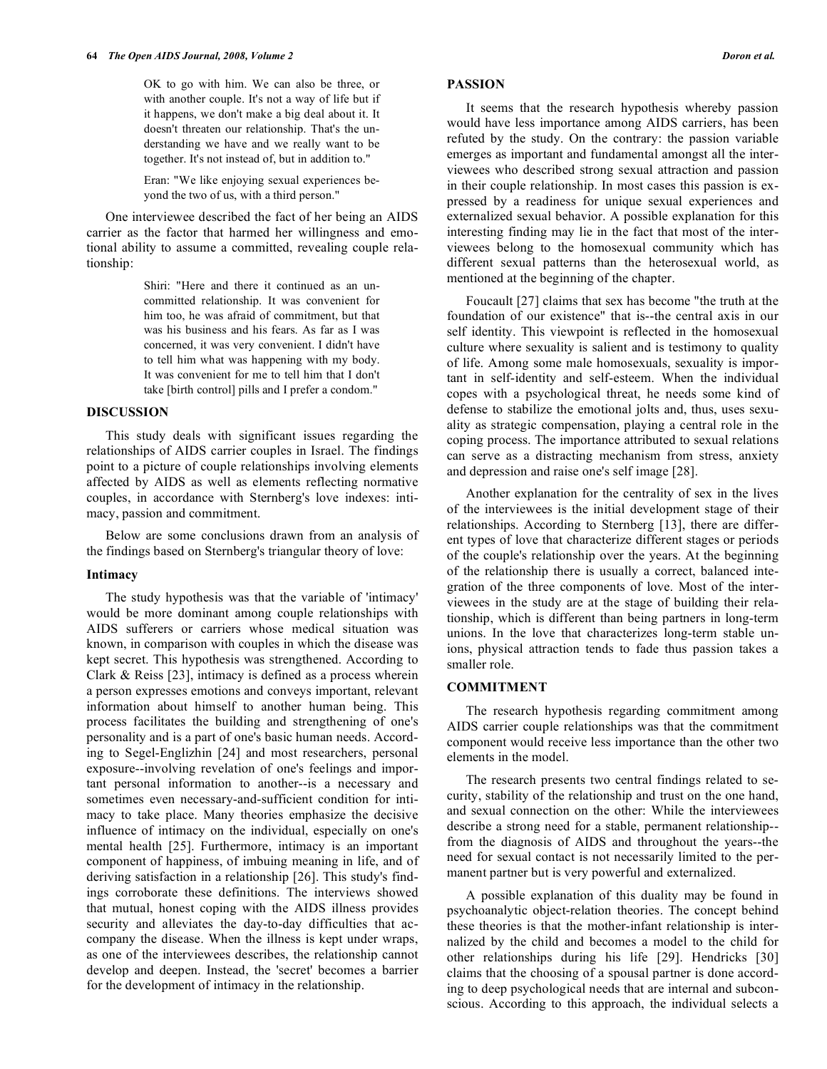OK to go with him. We can also be three, or with another couple. It's not a way of life but if it happens, we don't make a big deal about it. It doesn't threaten our relationship. That's the understanding we have and we really want to be together. It's not instead of, but in addition to."

Eran: "We like enjoying sexual experiences beyond the two of us, with a third person."

 One interviewee described the fact of her being an AIDS carrier as the factor that harmed her willingness and emotional ability to assume a committed, revealing couple relationship:

> Shiri: "Here and there it continued as an uncommitted relationship. It was convenient for him too, he was afraid of commitment, but that was his business and his fears. As far as I was concerned, it was very convenient. I didn't have to tell him what was happening with my body. It was convenient for me to tell him that I don't take [birth control] pills and I prefer a condom."

#### **DISCUSSION**

 This study deals with significant issues regarding the relationships of AIDS carrier couples in Israel. The findings point to a picture of couple relationships involving elements affected by AIDS as well as elements reflecting normative couples, in accordance with Sternberg's love indexes: intimacy, passion and commitment.

 Below are some conclusions drawn from an analysis of the findings based on Sternberg's triangular theory of love:

#### **Intimacy**

 The study hypothesis was that the variable of 'intimacy' would be more dominant among couple relationships with AIDS sufferers or carriers whose medical situation was known, in comparison with couples in which the disease was kept secret. This hypothesis was strengthened. According to Clark & Reiss [23], intimacy is defined as a process wherein a person expresses emotions and conveys important, relevant information about himself to another human being. This process facilitates the building and strengthening of one's personality and is a part of one's basic human needs. According to Segel-Englizhin [24] and most researchers, personal exposure--involving revelation of one's feelings and important personal information to another--is a necessary and sometimes even necessary-and-sufficient condition for intimacy to take place. Many theories emphasize the decisive influence of intimacy on the individual, especially on one's mental health [25]. Furthermore, intimacy is an important component of happiness, of imbuing meaning in life, and of deriving satisfaction in a relationship [26]. This study's findings corroborate these definitions. The interviews showed that mutual, honest coping with the AIDS illness provides security and alleviates the day-to-day difficulties that accompany the disease. When the illness is kept under wraps, as one of the interviewees describes, the relationship cannot develop and deepen. Instead, the 'secret' becomes a barrier for the development of intimacy in the relationship.

#### **PASSION**

 It seems that the research hypothesis whereby passion would have less importance among AIDS carriers, has been refuted by the study. On the contrary: the passion variable emerges as important and fundamental amongst all the interviewees who described strong sexual attraction and passion in their couple relationship. In most cases this passion is expressed by a readiness for unique sexual experiences and externalized sexual behavior. A possible explanation for this interesting finding may lie in the fact that most of the interviewees belong to the homosexual community which has different sexual patterns than the heterosexual world, as mentioned at the beginning of the chapter.

 Foucault [27] claims that sex has become "the truth at the foundation of our existence" that is--the central axis in our self identity. This viewpoint is reflected in the homosexual culture where sexuality is salient and is testimony to quality of life. Among some male homosexuals, sexuality is important in self-identity and self-esteem. When the individual copes with a psychological threat, he needs some kind of defense to stabilize the emotional jolts and, thus, uses sexuality as strategic compensation, playing a central role in the coping process. The importance attributed to sexual relations can serve as a distracting mechanism from stress, anxiety and depression and raise one's self image [28].

 Another explanation for the centrality of sex in the lives of the interviewees is the initial development stage of their relationships. According to Sternberg [13], there are different types of love that characterize different stages or periods of the couple's relationship over the years. At the beginning of the relationship there is usually a correct, balanced integration of the three components of love. Most of the interviewees in the study are at the stage of building their relationship, which is different than being partners in long-term unions. In the love that characterizes long-term stable unions, physical attraction tends to fade thus passion takes a smaller role.

#### **COMMITMENT**

 The research hypothesis regarding commitment among AIDS carrier couple relationships was that the commitment component would receive less importance than the other two elements in the model.

 The research presents two central findings related to security, stability of the relationship and trust on the one hand, and sexual connection on the other: While the interviewees describe a strong need for a stable, permanent relationship- from the diagnosis of AIDS and throughout the years--the need for sexual contact is not necessarily limited to the permanent partner but is very powerful and externalized.

 A possible explanation of this duality may be found in psychoanalytic object-relation theories. The concept behind these theories is that the mother-infant relationship is internalized by the child and becomes a model to the child for other relationships during his life [29]. Hendricks [30] claims that the choosing of a spousal partner is done according to deep psychological needs that are internal and subconscious. According to this approach, the individual selects a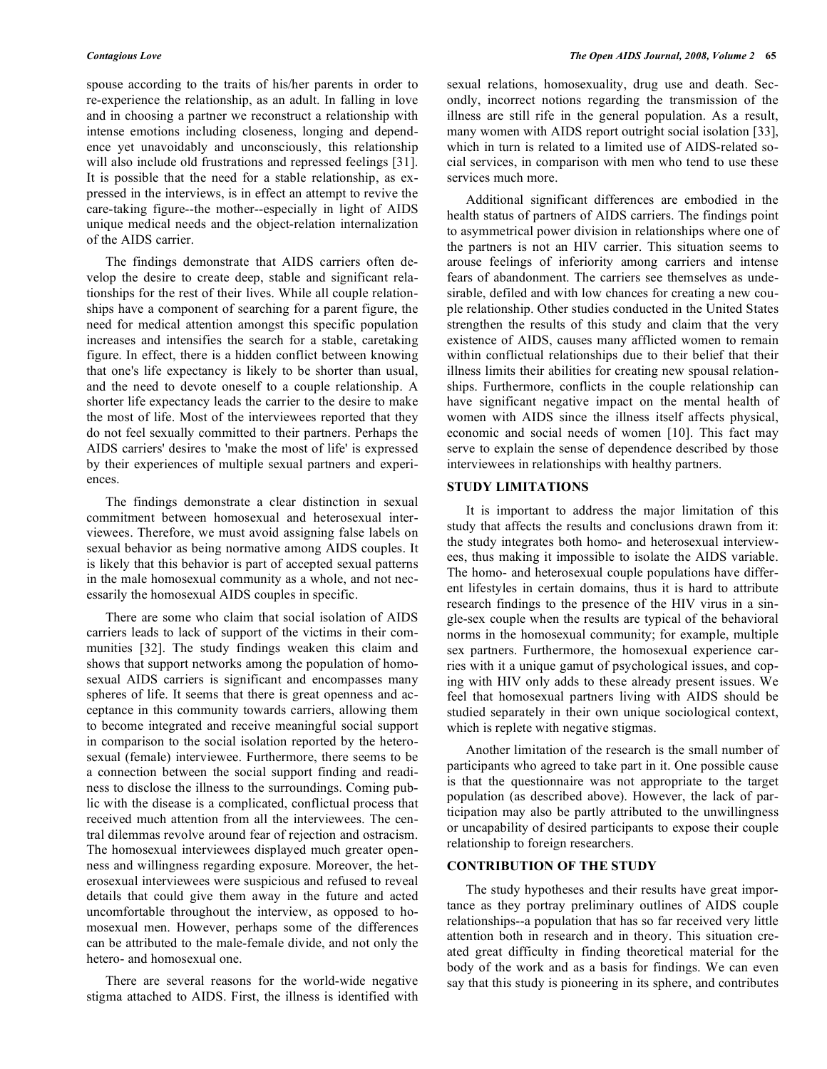spouse according to the traits of his/her parents in order to re-experience the relationship, as an adult. In falling in love and in choosing a partner we reconstruct a relationship with intense emotions including closeness, longing and dependence yet unavoidably and unconsciously, this relationship will also include old frustrations and repressed feelings [31]. It is possible that the need for a stable relationship, as expressed in the interviews, is in effect an attempt to revive the care-taking figure--the mother--especially in light of AIDS unique medical needs and the object-relation internalization of the AIDS carrier.

 The findings demonstrate that AIDS carriers often develop the desire to create deep, stable and significant relationships for the rest of their lives. While all couple relationships have a component of searching for a parent figure, the need for medical attention amongst this specific population increases and intensifies the search for a stable, caretaking figure. In effect, there is a hidden conflict between knowing that one's life expectancy is likely to be shorter than usual, and the need to devote oneself to a couple relationship. A shorter life expectancy leads the carrier to the desire to make the most of life. Most of the interviewees reported that they do not feel sexually committed to their partners. Perhaps the AIDS carriers' desires to 'make the most of life' is expressed by their experiences of multiple sexual partners and experiences.

 The findings demonstrate a clear distinction in sexual commitment between homosexual and heterosexual interviewees. Therefore, we must avoid assigning false labels on sexual behavior as being normative among AIDS couples. It is likely that this behavior is part of accepted sexual patterns in the male homosexual community as a whole, and not necessarily the homosexual AIDS couples in specific.

 There are some who claim that social isolation of AIDS carriers leads to lack of support of the victims in their communities [32]. The study findings weaken this claim and shows that support networks among the population of homosexual AIDS carriers is significant and encompasses many spheres of life. It seems that there is great openness and acceptance in this community towards carriers, allowing them to become integrated and receive meaningful social support in comparison to the social isolation reported by the heterosexual (female) interviewee. Furthermore, there seems to be a connection between the social support finding and readiness to disclose the illness to the surroundings. Coming public with the disease is a complicated, conflictual process that received much attention from all the interviewees. The central dilemmas revolve around fear of rejection and ostracism. The homosexual interviewees displayed much greater openness and willingness regarding exposure. Moreover, the heterosexual interviewees were suspicious and refused to reveal details that could give them away in the future and acted uncomfortable throughout the interview, as opposed to homosexual men. However, perhaps some of the differences can be attributed to the male-female divide, and not only the hetero- and homosexual one.

 There are several reasons for the world-wide negative stigma attached to AIDS. First, the illness is identified with sexual relations, homosexuality, drug use and death. Secondly, incorrect notions regarding the transmission of the illness are still rife in the general population. As a result, many women with AIDS report outright social isolation [33], which in turn is related to a limited use of AIDS-related social services, in comparison with men who tend to use these services much more.

 Additional significant differences are embodied in the health status of partners of AIDS carriers. The findings point to asymmetrical power division in relationships where one of the partners is not an HIV carrier. This situation seems to arouse feelings of inferiority among carriers and intense fears of abandonment. The carriers see themselves as undesirable, defiled and with low chances for creating a new couple relationship. Other studies conducted in the United States strengthen the results of this study and claim that the very existence of AIDS, causes many afflicted women to remain within conflictual relationships due to their belief that their illness limits their abilities for creating new spousal relationships. Furthermore, conflicts in the couple relationship can have significant negative impact on the mental health of women with AIDS since the illness itself affects physical, economic and social needs of women [10]. This fact may serve to explain the sense of dependence described by those interviewees in relationships with healthy partners.

#### **STUDY LIMITATIONS**

 It is important to address the major limitation of this study that affects the results and conclusions drawn from it: the study integrates both homo- and heterosexual interviewees, thus making it impossible to isolate the AIDS variable. The homo- and heterosexual couple populations have different lifestyles in certain domains, thus it is hard to attribute research findings to the presence of the HIV virus in a single-sex couple when the results are typical of the behavioral norms in the homosexual community; for example, multiple sex partners. Furthermore, the homosexual experience carries with it a unique gamut of psychological issues, and coping with HIV only adds to these already present issues. We feel that homosexual partners living with AIDS should be studied separately in their own unique sociological context, which is replete with negative stigmas.

 Another limitation of the research is the small number of participants who agreed to take part in it. One possible cause is that the questionnaire was not appropriate to the target population (as described above). However, the lack of participation may also be partly attributed to the unwillingness or uncapability of desired participants to expose their couple relationship to foreign researchers.

#### **CONTRIBUTION OF THE STUDY**

 The study hypotheses and their results have great importance as they portray preliminary outlines of AIDS couple relationships--a population that has so far received very little attention both in research and in theory. This situation created great difficulty in finding theoretical material for the body of the work and as a basis for findings. We can even say that this study is pioneering in its sphere, and contributes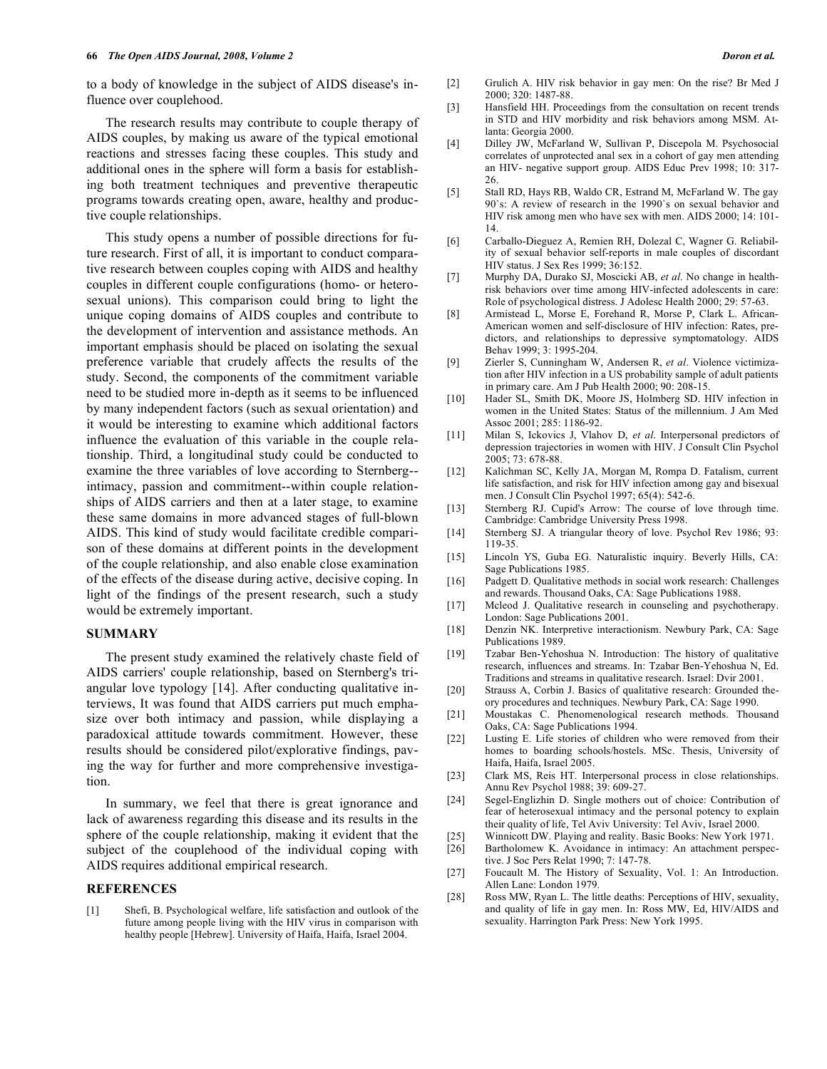to a body of knowledge in the subject of AIDS disease's influence over couplehood.

 The research results may contribute to couple therapy of AIDS couples, by making us aware of the typical emotional reactions and stresses facing these couples. This study and additional ones in the sphere will form a basis for establishing both treatment techniques and preventive therapeutic programs towards creating open, aware, healthy and productive couple relationships.

 This study opens a number of possible directions for future research. First of all, it is important to conduct comparative research between couples coping with AIDS and healthy couples in different couple configurations (homo- or heterosexual unions). This comparison could bring to light the unique coping domains of AIDS couples and contribute to the development of intervention and assistance methods. An important emphasis should be placed on isolating the sexual preference variable that crudely affects the results of the study. Second, the components of the commitment variable need to be studied more in-depth as it seems to be influenced by many independent factors (such as sexual orientation) and it would be interesting to examine which additional factors influence the evaluation of this variable in the couple relationship. Third, a longitudinal study could be conducted to examine the three variables of love according to Sternberg- intimacy, passion and commitment--within couple relationships of AIDS carriers and then at a later stage, to examine these same domains in more advanced stages of full-blown AIDS. This kind of study would facilitate credible comparison of these domains at different points in the development of the couple relationship, and also enable close examination of the effects of the disease during active, decisive coping. In light of the findings of the present research, such a study would be extremely important.

#### **SUMMARY**

 The present study examined the relatively chaste field of AIDS carriers' couple relationship, based on Sternberg's triangular love typology [14]. After conducting qualitative interviews, It was found that AIDS carriers put much emphasize over both intimacy and passion, while displaying a paradoxical attitude towards commitment. However, these results should be considered pilot/explorative findings, paving the way for further and more comprehensive investigation.

 In summary, we feel that there is great ignorance and lack of awareness regarding this disease and its results in the sphere of the couple relationship, making it evident that the subject of the couplehood of the individual coping with AIDS requires additional empirical research.

### **REFERENCES**

[1] Shefi, B. Psychological welfare, life satisfaction and outlook of the future among people living with the HIV virus in comparison with healthy people [Hebrew]. University of Haifa, Haifa, Israel 2004.

- [2] Grulich A. HIV risk behavior in gay men: On the rise? Br Med J 2000; 320: 1487-88.
- [3] Hansfield HH. Proceedings from the consultation on recent trends in STD and HIV morbidity and risk behaviors among MSM. Atlanta: Georgia 2000.
- [4] Dilley JW, McFarland W, Sullivan P, Discepola M. Psychosocial correlates of unprotected anal sex in a cohort of gay men attending an HIV- negative support group. AIDS Educ Prev 1998; 10: 317- 26.
- [5] Stall RD, Hays RB, Waldo CR, Estrand M, McFarland W. The gay 90`s: A review of research in the 1990`s on sexual behavior and HIV risk among men who have sex with men. AIDS 2000; 14: 101- 14.
- [6] Carballo-Dieguez A, Remien RH, Dolezal C, Wagner G. Reliability of sexual behavior self-reports in male couples of discordant HIV status. J Sex Res 1999; 36:152.
- [7] Murphy DA, Durako SJ, Moscicki AB, *et al.* No change in healthrisk behaviors over time among HIV-infected adolescents in care: Role of psychological distress. J Adolesc Health 2000; 29: 57-63.
- [8] Armistead L, Morse E, Forehand R, Morse P, Clark L. African-American women and self-disclosure of HIV infection: Rates, predictors, and relationships to depressive symptomatology. AIDS Behav 1999; 3: 1995-204.
- [9] Zierler S, Cunningham W, Andersen R, *et al*. Violence victimization after HIV infection in a US probability sample of adult patients in primary care. Am J Pub Health 2000; 90: 208-15.
- [10] Hader SL, Smith DK, Moore JS, Holmberg SD. HIV infection in women in the United States: Status of the millennium. J Am Med Assoc 2001; 285: 1186-92.
- [11] Milan S, Ickovics J, Vlahov D, *et al*. Interpersonal predictors of depression trajectories in women with HIV. J Consult Clin Psychol 2005; 73: 678-88.
- [12] Kalichman SC, Kelly JA, Morgan M, Rompa D. Fatalism, current life satisfaction, and risk for HIV infection among gay and bisexual men. J Consult Clin Psychol 1997; 65(4): 542-6.
- [13] Sternberg RJ. Cupid's Arrow: The course of love through time. Cambridge: Cambridge University Press 1998.
- [14] Sternberg SJ. A triangular theory of love. Psychol Rev 1986; 93: 119-35.
- [15] Lincoln YS, Guba EG. Naturalistic inquiry. Beverly Hills, CA: Sage Publications 1985.
- [16] Padgett D. Qualitative methods in social work research: Challenges and rewards. Thousand Oaks, CA: Sage Publications 1988.
- [17] Mcleod J. Qualitative research in counseling and psychotherapy. London: Sage Publications 2001.
- [18] Denzin NK. Interpretive interactionism. Newbury Park, CA: Sage Publications 1989.
- [19] Tzabar Ben-Yehoshua N. Introduction: The history of qualitative research, influences and streams. In: Tzabar Ben-Yehoshua N, Ed. Traditions and streams in qualitative research. Israel: Dvir 2001.
- [20] Strauss A, Corbin J. Basics of qualitative research: Grounded theory procedures and techniques. Newbury Park, CA: Sage 1990.
- [21] Moustakas C. Phenomenological research methods. Thousand Oaks, CA: Sage Publications 1994.
- [22] Lusting E. Life stories of children who were removed from their homes to boarding schools/hostels. MSc. Thesis, University of Haifa, Haifa, Israel 2005.
- [23] Clark MS, Reis HT. Interpersonal process in close relationships. Annu Rev Psychol 1988; 39: 609-27.
- [24] Segel-Englizhin D. Single mothers out of choice: Contribution of fear of heterosexual intimacy and the personal potency to explain their quality of life, Tel Aviv University: Tel Aviv, Israel 2000.
- [25] Winnicott DW. Playing and reality. Basic Books: New York 1971.
- [26] Bartholomew K. Avoidance in intimacy: An attachment perspective. J Soc Pers Relat 1990; 7: 147-78.
- [27] Foucault M. The History of Sexuality, Vol. 1: An Introduction. Allen Lane: London 1979.
- [28] Ross MW, Ryan L. The little deaths: Perceptions of HIV, sexuality, and quality of life in gay men. In: Ross MW, Ed, HIV/AIDS and sexuality. Harrington Park Press: New York 1995.